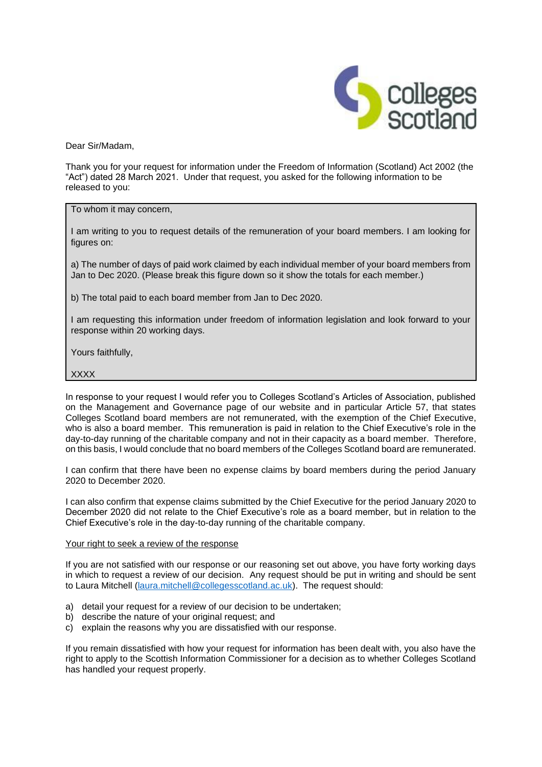

Dear Sir/Madam,

Thank you for your request for information under the Freedom of Information (Scotland) Act 2002 (the "Act") dated 28 March 2021. Under that request, you asked for the following information to be released to you:

To whom it may concern,

I am writing to you to request details of the remuneration of your board members. I am looking for figures on:

a) The number of days of paid work claimed by each individual member of your board members from Jan to Dec 2020. (Please break this figure down so it show the totals for each member.)

b) The total paid to each board member from Jan to Dec 2020.

I am requesting this information under freedom of information legislation and look forward to your response within 20 working days.

Yours faithfully,

## **XXXX**

In response to your request I would refer you to Colleges Scotland's Articles of Association, published on the Management and Governance page of our website and in particular Article 57, that states Colleges Scotland board members are not remunerated, with the exemption of the Chief Executive, who is also a board member. This remuneration is paid in relation to the Chief Executive's role in the day-to-day running of the charitable company and not in their capacity as a board member. Therefore, on this basis, I would conclude that no board members of the Colleges Scotland board are remunerated.

I can confirm that there have been no expense claims by board members during the period January 2020 to December 2020.

I can also confirm that expense claims submitted by the Chief Executive for the period January 2020 to December 2020 did not relate to the Chief Executive's role as a board member, but in relation to the Chief Executive's role in the day-to-day running of the charitable company.

## Your right to seek a review of the response

If you are not satisfied with our response or our reasoning set out above, you have forty working days in which to request a review of our decision. Any request should be put in writing and should be sent to Laura Mitchell [\(laura.mitchell@collegesscotland.ac.uk\)](mailto:laura.mitchell@collegesscotland.ac.uk). The request should:

- a) detail your request for a review of our decision to be undertaken;
- b) describe the nature of your original request; and
- c) explain the reasons why you are dissatisfied with our response.

If you remain dissatisfied with how your request for information has been dealt with, you also have the right to apply to the Scottish Information Commissioner for a decision as to whether Colleges Scotland has handled your request properly.